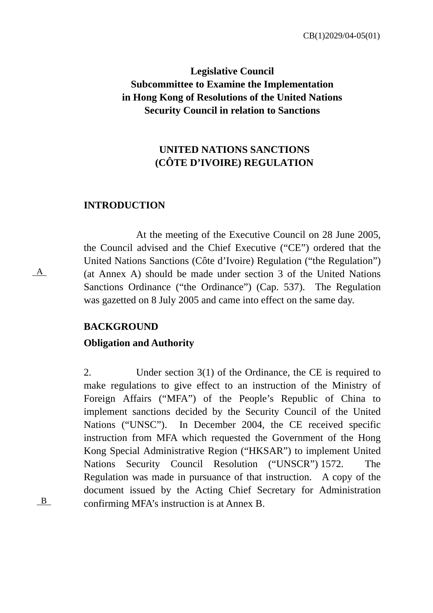CB(1)2029/04-05(01)

## **Legislative Council Subcommittee to Examine the Implementation in Hong Kong of Resolutions of the United Nations Security Council in relation to Sanctions**

### **UNITED NATIONS SANCTIONS (CÔTE D'IVOIRE) REGULATION**

#### **INTRODUCTION**

At the meeting of the Executive Council on 28 June 2005, the Council advised and the Chief Executive ("CE") ordered that the United Nations Sanctions (Côte d'Ivoire) Regulation ("the Regulation") (at Annex A) should be made under section 3 of the United Nations Sanctions Ordinance ("the Ordinance") (Cap. 537). The Regulation was gazetted on 8 July 2005 and came into effect on the same day.

#### **BACKGROUND**

#### **Obligation and Authority**

2. Under section 3(1) of the Ordinance, the CE is required to make regulations to give effect to an instruction of the Ministry of Foreign Affairs ("MFA") of the People's Republic of China to implement sanctions decided by the Security Council of the United Nations ("UNSC"). In December 2004, the CE received specific instruction from MFA which requested the Government of the Hong Kong Special Administrative Region ("HKSAR") to implement United Nations Security Council Resolution ("UNSCR") 1572. The Regulation was made in pursuance of that instruction. A copy of the document issued by the Acting Chief Secretary for Administration  $\underline{B}$  confirming MFA's instruction is at Annex B.

A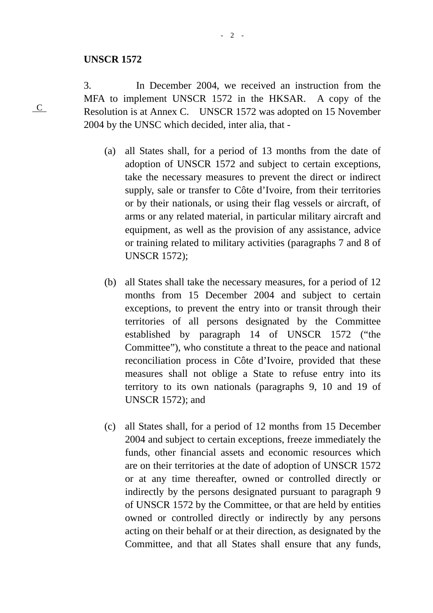#### **UNSCR 1572**

C

3. In December 2004, we received an instruction from the MFA to implement UNSCR 1572 in the HKSAR. A copy of the Resolution is at Annex C. UNSCR 1572 was adopted on 15 November 2004 by the UNSC which decided, inter alia, that -

- (a) all States shall, for a period of 13 months from the date of adoption of UNSCR 1572 and subject to certain exceptions, take the necessary measures to prevent the direct or indirect supply, sale or transfer to Côte d'Ivoire, from their territories or by their nationals, or using their flag vessels or aircraft, of arms or any related material, in particular military aircraft and equipment, as well as the provision of any assistance, advice or training related to military activities (paragraphs 7 and 8 of UNSCR 1572);
- (b) all States shall take the necessary measures, for a period of 12 months from 15 December 2004 and subject to certain exceptions, to prevent the entry into or transit through their territories of all persons designated by the Committee established by paragraph 14 of UNSCR 1572 ("the Committee"), who constitute a threat to the peace and national reconciliation process in Côte d'Ivoire, provided that these measures shall not oblige a State to refuse entry into its territory to its own nationals (paragraphs 9, 10 and 19 of UNSCR 1572); and
- (c) all States shall, for a period of 12 months from 15 December 2004 and subject to certain exceptions, freeze immediately the funds, other financial assets and economic resources which are on their territories at the date of adoption of UNSCR 1572 or at any time thereafter, owned or controlled directly or indirectly by the persons designated pursuant to paragraph 9 of UNSCR 1572 by the Committee, or that are held by entities owned or controlled directly or indirectly by any persons acting on their behalf or at their direction, as designated by the Committee, and that all States shall ensure that any funds,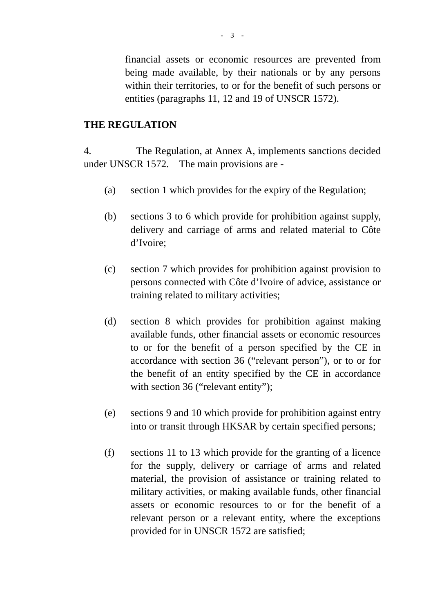financial assets or economic resources are prevented from being made available, by their nationals or by any persons within their territories, to or for the benefit of such persons or entities (paragraphs 11, 12 and 19 of UNSCR 1572).

#### **THE REGULATION**

4. The Regulation, at Annex A, implements sanctions decided under UNSCR 1572. The main provisions are -

- (a) section 1 which provides for the expiry of the Regulation;
- (b) sections 3 to 6 which provide for prohibition against supply, delivery and carriage of arms and related material to Côte d'Ivoire;
- (c) section 7 which provides for prohibition against provision to persons connected with Côte d'Ivoire of advice, assistance or training related to military activities;
- (d) section 8 which provides for prohibition against making available funds, other financial assets or economic resources to or for the benefit of a person specified by the CE in accordance with section 36 ("relevant person"), or to or for the benefit of an entity specified by the CE in accordance with section 36 ("relevant entity");
- (e) sections 9 and 10 which provide for prohibition against entry into or transit through HKSAR by certain specified persons;
- (f) sections 11 to 13 which provide for the granting of a licence for the supply, delivery or carriage of arms and related material, the provision of assistance or training related to military activities, or making available funds, other financial assets or economic resources to or for the benefit of a relevant person or a relevant entity, where the exceptions provided for in UNSCR 1572 are satisfied;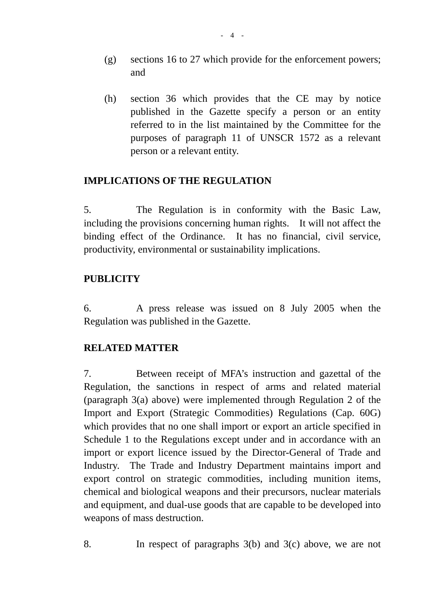- (g) sections 16 to 27 which provide for the enforcement powers; and
- (h) section 36 which provides that the CE may by notice published in the Gazette specify a person or an entity referred to in the list maintained by the Committee for the purposes of paragraph 11 of UNSCR 1572 as a relevant person or a relevant entity.

#### **IMPLICATIONS OF THE REGULATION**

5. The Regulation is in conformity with the Basic Law, including the provisions concerning human rights. It will not affect the binding effect of the Ordinance. It has no financial, civil service, productivity, environmental or sustainability implications.

#### **PUBLICITY**

6. A press release was issued on 8 July 2005 when the Regulation was published in the Gazette.

#### **RELATED MATTER**

7. Between receipt of MFA's instruction and gazettal of the Regulation, the sanctions in respect of arms and related material (paragraph 3(a) above) were implemented through Regulation 2 of the Import and Export (Strategic Commodities) Regulations (Cap. 60G) which provides that no one shall import or export an article specified in Schedule 1 to the Regulations except under and in accordance with an import or export licence issued by the Director-General of Trade and Industry. The Trade and Industry Department maintains import and export control on strategic commodities, including munition items, chemical and biological weapons and their precursors, nuclear materials and equipment, and dual-use goods that are capable to be developed into weapons of mass destruction.

8. In respect of paragraphs 3(b) and 3(c) above, we are not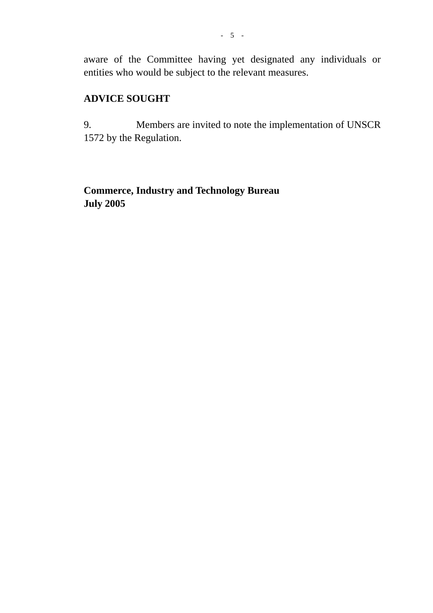aware of the Committee having yet designated any individuals or entities who would be subject to the relevant measures.

## **ADVICE SOUGHT**

9. Members are invited to note the implementation of UNSCR 1572 by the Regulation.

**Commerce, Industry and Technology Bureau July 2005**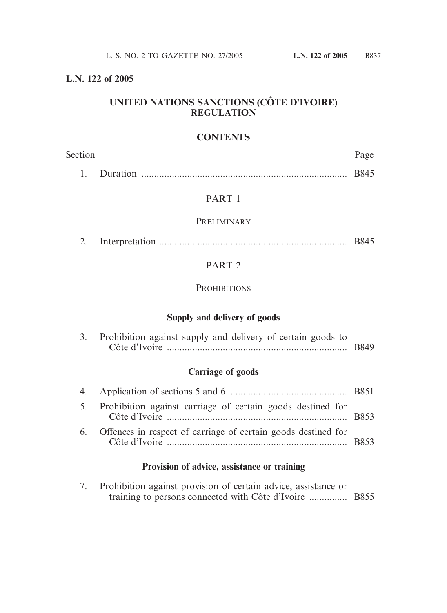#### **L.N. 122 of 2005**

#### **UNITED NATIONS SANCTIONS (CÔTE D'IVOIRE) REGULATION**

#### **CONTENTS**

| Section |             |              |
|---------|-------------|--------------|
|         | 1. Duration | <b>B</b> 845 |

#### PART 1

#### **PRELIMINARY**

| ۷. |  |  |
|----|--|--|
|----|--|--|

#### PART 2

#### **PROHIBITIONS**

## **Supply and delivery of goods**

| Prohibition against supply and delivery of certain goods to |             |
|-------------------------------------------------------------|-------------|
|                                                             | <b>B849</b> |

#### **Carriage of goods**

| 5. Prohibition against carriage of certain goods destined for    |  |
|------------------------------------------------------------------|--|
| 6. Offences in respect of carriage of certain goods destined for |  |

## **Provision of advice, assistance or training**

| Prohibition against provision of certain advice, assistance or |  |
|----------------------------------------------------------------|--|
| training to persons connected with Côte d'Ivoire  B855         |  |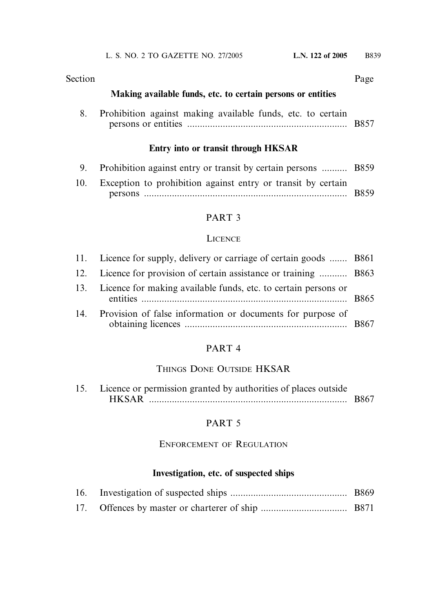#### Section Page

#### **Making available funds, etc. to certain persons or entities**

| Prohibition against making available funds, etc. to certain |  |  |  |  |
|-------------------------------------------------------------|--|--|--|--|
|                                                             |  |  |  |  |

#### **Entry into or transit through HKSAR**

|          | 9. Prohibition against entry or transit by certain persons  B859   |  |
|----------|--------------------------------------------------------------------|--|
| $1 \cap$ | . Expending to muchibition oppinet enture on the paid loss contain |  |

| 10. | Exception to prohibition against entry or transit by certain |              |
|-----|--------------------------------------------------------------|--------------|
|     |                                                              | <b>B</b> 859 |

#### PART 3

#### **LICENCE**

|     | 11. Licence for supply, delivery or carriage of certain goods  B861 |  |
|-----|---------------------------------------------------------------------|--|
|     | 12. Licence for provision of certain assistance or training  B863   |  |
|     | 13. Licence for making available funds, etc. to certain persons or  |  |
| 14. | Provision of false information or documents for purpose of          |  |

### PART 4

## THINGS DONE OUTSIDE HKSAR

| 15. Licence or permission granted by authorities of places outside |              |
|--------------------------------------------------------------------|--------------|
| <b>HKSAR</b>                                                       | <b>B</b> 867 |

## PART 5

#### ENFORCEMENT OF REGULATION

## **Investigation, etc. of suspected ships**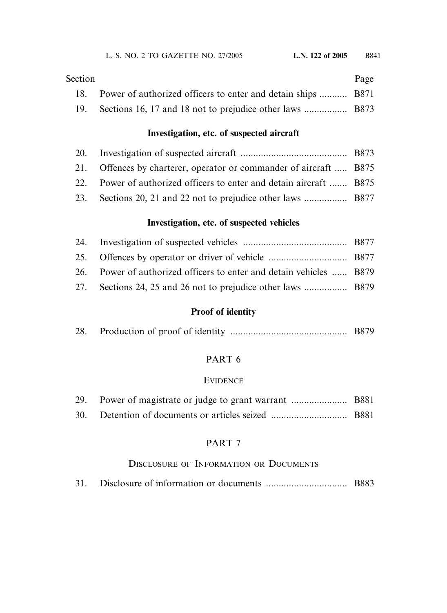| Section |                                                                  | Page |
|---------|------------------------------------------------------------------|------|
|         | 18. Power of authorized officers to enter and detain ships  B871 |      |
|         |                                                                  |      |

#### **Investigation, etc. of suspected aircraft**

| 21. Offences by charterer, operator or commander of aircraft  B875  |  |
|---------------------------------------------------------------------|--|
| 22. Power of authorized officers to enter and detain aircraft  B875 |  |
| 23. Sections 20, 21 and 22 not to prejudice other laws  B877        |  |

#### **Investigation, etc. of suspected vehicles**

| 26. Power of authorized officers to enter and detain vehicles  B879 |  |
|---------------------------------------------------------------------|--|
| 27. Sections 24, 25 and 26 not to prejudice other laws  B879        |  |

#### **Proof of identity**

| 28. |  | <b>B879</b> |
|-----|--|-------------|
|     |  |             |

#### PART 6

#### **EVIDENCE**

#### PART 7

#### DISCLOSURE OF INFORMATION OR DOCUMENTS

31. Disclosure of information or documents ................................ B883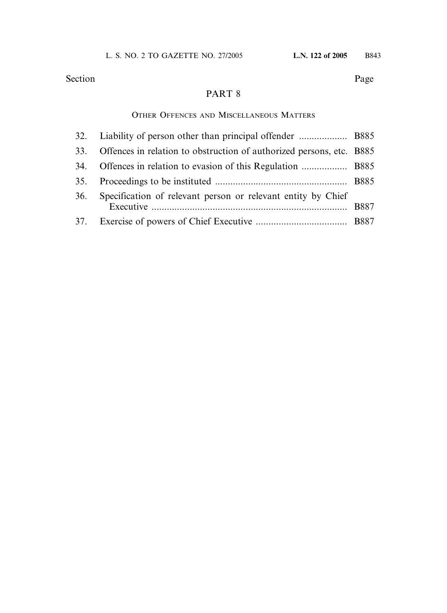Section Page

## PART 8

#### OTHER OFFENCES AND MISCELLANEOUS MATTERS

| 33. | Offences in relation to obstruction of authorized persons, etc. B885 |  |
|-----|----------------------------------------------------------------------|--|
|     |                                                                      |  |
|     |                                                                      |  |
| 36. | Specification of relevant person or relevant entity by Chief         |  |
|     |                                                                      |  |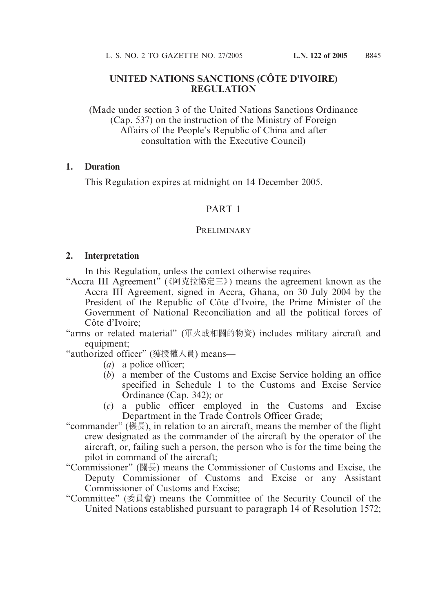#### **UNITED NATIONS SANCTIONS (CÔTE D'IVOIRE) REGULATION**

(Made under section 3 of the United Nations Sanctions Ordinance (Cap. 537) on the instruction of the Ministry of Foreign Affairs of the People's Republic of China and after consultation with the Executive Council)

#### **1. Duration**

This Regulation expires at midnight on 14 December 2005.

#### PART 1

#### **PRELIMINARY**

#### **2. Interpretation**

In this Regulation, unless the context otherwise requires—

"Accra III Agreement" (《阿克拉協定三》) means the agreement known as the Accra III Agreement, signed in Accra, Ghana, on 30 July 2004 by the President of the Republic of Côte d'Ivoire, the Prime Minister of the Government of National Reconciliation and all the political forces of Côte d'Ivoire;

"arms or related material" (軍火或相關的物資) includes military aircraft and equipment;

"authorized officer" (獲授權人員) means—

- (*a*) a police officer;
- (*b*) a member of the Customs and Excise Service holding an office specified in Schedule 1 to the Customs and Excise Service Ordinance (Cap. 342); or
- (*c*) a public officer employed in the Customs and Excise Department in the Trade Controls Officer Grade;
- "commander" (機長), in relation to an aircraft, means the member of the flight crew designated as the commander of the aircraft by the operator of the aircraft, or, failing such a person, the person who is for the time being the pilot in command of the aircraft;
- "Commissioner" (關長) means the Commissioner of Customs and Excise, the Deputy Commissioner of Customs and Excise or any Assistant Commissioner of Customs and Excise;
- "Committee" (委員會) means the Committee of the Security Council of the United Nations established pursuant to paragraph 14 of Resolution 1572;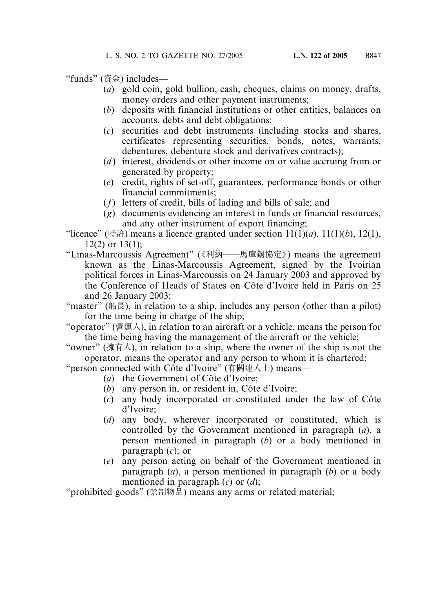"funds" (資金) includes—

- (*a*) gold coin, gold bullion, cash, cheques, claims on money, drafts, money orders and other payment instruments;
- (*b*) deposits with financial institutions or other entities, balances on accounts, debts and debt obligations;
- (*c*) securities and debt instruments (including stocks and shares, certificates representing securities, bonds, notes, warrants, debentures, debenture stock and derivatives contracts);
- (*d*) interest, dividends or other income on or value accruing from or generated by property;
- (*e*) credit, rights of set-off, guarantees, performance bonds or other financial commitments;
- (*f*) letters of credit, bills of lading and bills of sale; and
- (*g*) documents evidencing an interest in funds or financial resources, and any other instrument of export financing;
- "licence" (特許) means a licence granted under section  $11(1)(a)$ ,  $11(1)(b)$ ,  $12(1)$ , 12(2) or 13(1);
- "Linas-Marcoussis Agreement" (《利納——馬庫錫協定》) means the agreement known as the Linas-Marcoussis Agreement, signed by the Ivoirian political forces in Linas-Marcoussis on 24 January 2003 and approved by the Conference of Heads of States on Côte d'Ivoire held in Paris on 25 and 26 January 2003;
- "master" (船長), in relation to a ship, includes any person (other than a pilot) for the time being in charge of the ship;
- "operator" (營運人), in relation to an aircraft or a vehicle, means the person for the time being having the management of the aircraft or the vehicle;
- "owner" (擁有人), in relation to a ship, where the owner of the ship is not the operator, means the operator and any person to whom it is chartered;

"person connected with Côte d'Ivoire" (有關連人士) means—

- (*a*) the Government of Côte d'Ivoire;
- (*b*) any person in, or resident in, Côte d'Ivoire;
- (*c*) any body incorporated or constituted under the law of Côte d'Ivoire;
- (*d*) any body, wherever incorporated or constituted, which is controlled by the Government mentioned in paragraph (*a*), a person mentioned in paragraph (*b*) or a body mentioned in paragraph (*c*); or
- (*e*) any person acting on behalf of the Government mentioned in paragraph (*a*), a person mentioned in paragraph (*b*) or a body mentioned in paragraph (*c*) or (*d*);

"prohibited goods" (禁制物品) means any arms or related material;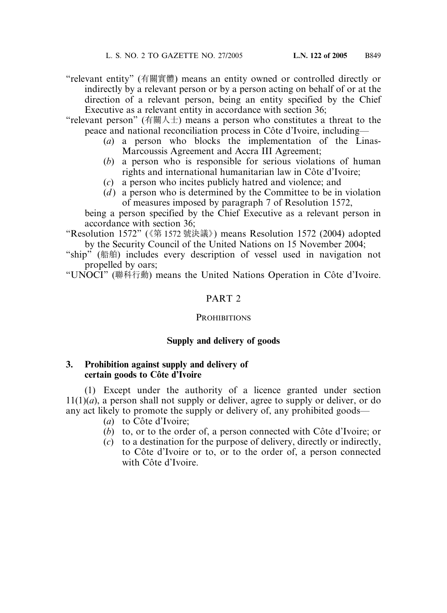"relevant entity" (有關實體) means an entity owned or controlled directly or indirectly by a relevant person or by a person acting on behalf of or at the direction of a relevant person, being an entity specified by the Chief Executive as a relevant entity in accordance with section 36;

"relevant person" (有關人士) means a person who constitutes a threat to the peace and national reconciliation process in Côte d'Ivoire, including—

- (*a*) a person who blocks the implementation of the Linas-Marcoussis Agreement and Accra III Agreement;
- (*b*) a person who is responsible for serious violations of human rights and international humanitarian law in Côte d'Ivoire;
- (*c*) a person who incites publicly hatred and violence; and
- (*d*) a person who is determined by the Committee to be in violation of measures imposed by paragraph 7 of Resolution 1572,

being a person specified by the Chief Executive as a relevant person in accordance with section 36;

"Resolution 1572" (《第 1572 號決議》) means Resolution 1572 (2004) adopted by the Security Council of the United Nations on 15 November 2004;

"ship" (船舶) includes every description of vessel used in navigation not propelled by oars;

"UNOCI" (聯科行動) means the United Nations Operation in Côte d'Ivoire.

#### PART 2

#### **PROHIBITIONS**

#### **Supply and delivery of goods**

#### **3. Prohibition against supply and delivery of certain goods to Côte d'Ivoire**

(1) Except under the authority of a licence granted under section  $11(1)(a)$ , a person shall not supply or deliver, agree to supply or deliver, or do any act likely to promote the supply or delivery of, any prohibited goods—

- (*a*) to Côte d'Ivoire;
- (*b*) to, or to the order of, a person connected with Côte d'Ivoire; or
- (*c*) to a destination for the purpose of delivery, directly or indirectly, to Côte d'Ivoire or to, or to the order of, a person connected with Côte d'Ivoire.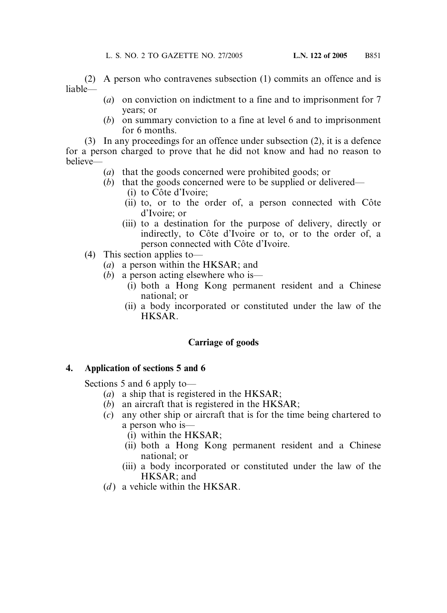(2) A person who contravenes subsection (1) commits an offence and is liable—

- (*a*) on conviction on indictment to a fine and to imprisonment for 7 years; or
- (*b*) on summary conviction to a fine at level 6 and to imprisonment for 6 months.

(3) In any proceedings for an offence under subsection (2), it is a defence for a person charged to prove that he did not know and had no reason to believe—

- (*a*) that the goods concerned were prohibited goods; or
- (*b*) that the goods concerned were to be supplied or delivered—
	- (i) to Côte d'Ivoire;
	- (ii) to, or to the order of, a person connected with Côte d'Ivoire; or
	- (iii) to a destination for the purpose of delivery, directly or indirectly, to Côte d'Ivoire or to, or to the order of, a person connected with Côte d'Ivoire.
- (4) This section applies to—
	- (*a*) a person within the HKSAR; and
	- (*b*) a person acting elsewhere who is—
		- (i) both a Hong Kong permanent resident and a Chinese national; or
		- (ii) a body incorporated or constituted under the law of the **HKSAR**

#### **Carriage of goods**

#### **4. Application of sections 5 and 6**

Sections 5 and 6 apply to—

- (*a*) a ship that is registered in the HKSAR;
- (*b*) an aircraft that is registered in the HKSAR;
- (*c*) any other ship or aircraft that is for the time being chartered to a person who is—
	- (i) within the HKSAR;
	- (ii) both a Hong Kong permanent resident and a Chinese national; or
	- (iii) a body incorporated or constituted under the law of the HKSAR; and
- $(d)$  a vehicle within the HKSAR.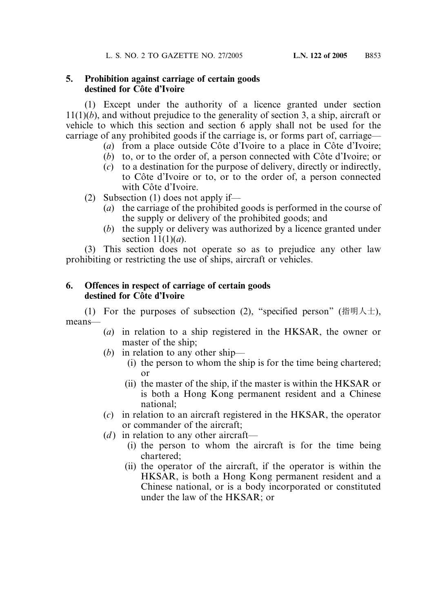#### **5. Prohibition against carriage of certain goods destined for Côte d'Ivoire**

(1) Except under the authority of a licence granted under section  $11(1)(b)$ , and without prejudice to the generality of section 3, a ship, aircraft or vehicle to which this section and section 6 apply shall not be used for the carriage of any prohibited goods if the carriage is, or forms part of, carriage—

- (*a*) from a place outside Côte d'Ivoire to a place in Côte d'Ivoire;
- (*b*) to, or to the order of, a person connected with Côte d'Ivoire; or
- (*c*) to a destination for the purpose of delivery, directly or indirectly, to Côte d'Ivoire or to, or to the order of, a person connected with Côte d'Ivoire.
- (2) Subsection (1) does not apply if—
	- (*a*) the carriage of the prohibited goods is performed in the course of the supply or delivery of the prohibited goods; and
	- (*b*) the supply or delivery was authorized by a licence granted under section 11(1)(*a*).

(3) This section does not operate so as to prejudice any other law prohibiting or restricting the use of ships, aircraft or vehicles.

#### **6. Offences in respect of carriage of certain goods destined for Côte d'Ivoire**

(1) For the purposes of subsection (2), "specified person" (指明人士), means—

- (*a*) in relation to a ship registered in the HKSAR, the owner or master of the ship;
- (*b*) in relation to any other ship—
	- (i) the person to whom the ship is for the time being chartered; or
	- (ii) the master of the ship, if the master is within the HKSAR or is both a Hong Kong permanent resident and a Chinese national;
- (*c*) in relation to an aircraft registered in the HKSAR, the operator or commander of the aircraft;
- (*d*) in relation to any other aircraft—
	- (i) the person to whom the aircraft is for the time being chartered;
	- (ii) the operator of the aircraft, if the operator is within the HKSAR, is both a Hong Kong permanent resident and a Chinese national, or is a body incorporated or constituted under the law of the HKSAR; or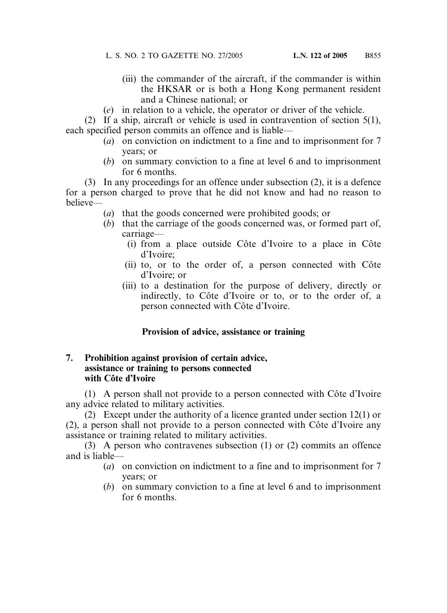- (iii) the commander of the aircraft, if the commander is within the HKSAR or is both a Hong Kong permanent resident and a Chinese national; or
- (*e*) in relation to a vehicle, the operator or driver of the vehicle.

(2) If a ship, aircraft or vehicle is used in contravention of section 5(1), each specified person commits an offence and is liable—

- (*a*) on conviction on indictment to a fine and to imprisonment for 7 years; or
- (*b*) on summary conviction to a fine at level 6 and to imprisonment for 6 months.

(3) In any proceedings for an offence under subsection (2), it is a defence for a person charged to prove that he did not know and had no reason to believe—

- (*a*) that the goods concerned were prohibited goods; or
- (*b*) that the carriage of the goods concerned was, or formed part of, carriage—
	- (i) from a place outside Côte d'Ivoire to a place in Côte d'Ivoire;
	- (ii) to, or to the order of, a person connected with Côte d'Ivoire; or
	- (iii) to a destination for the purpose of delivery, directly or indirectly, to Côte d'Ivoire or to, or to the order of, a person connected with Côte d'Ivoire.

#### **Provision of advice, assistance or training**

#### **7. Prohibition against provision of certain advice, assistance or training to persons connected with Côte d'Ivoire**

(1) A person shall not provide to a person connected with Côte d'Ivoire any advice related to military activities.

(2) Except under the authority of a licence granted under section 12(1) or (2), a person shall not provide to a person connected with Côte d'Ivoire any assistance or training related to military activities.

(3) A person who contravenes subsection (1) or (2) commits an offence and is liable—

- (*a*) on conviction on indictment to a fine and to imprisonment for 7 years; or
- (*b*) on summary conviction to a fine at level 6 and to imprisonment for 6 months.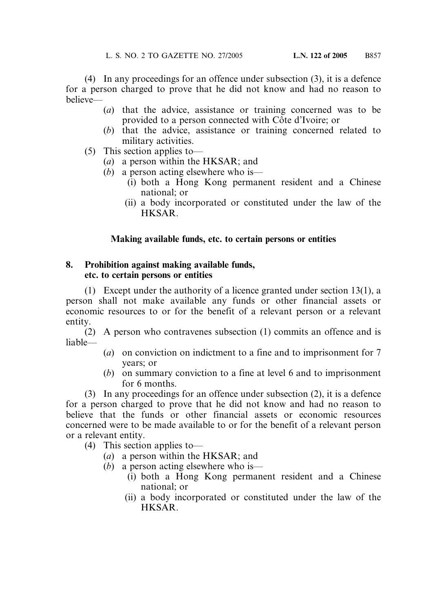(4) In any proceedings for an offence under subsection (3), it is a defence for a person charged to prove that he did not know and had no reason to believe—

- (*a*) that the advice, assistance or training concerned was to be provided to a person connected with Côte d'Ivoire; or
- (*b*) that the advice, assistance or training concerned related to military activities.
- (5) This section applies to—
	- (*a*) a person within the HKSAR; and
	- (*b*) a person acting elsewhere who is—
		- (i) both a Hong Kong permanent resident and a Chinese national; or
		- (ii) a body incorporated or constituted under the law of the **HKSAR**

#### **Making available funds, etc. to certain persons or entities**

#### **8. Prohibition against making available funds, etc. to certain persons or entities**

(1) Except under the authority of a licence granted under section 13(1), a person shall not make available any funds or other financial assets or economic resources to or for the benefit of a relevant person or a relevant entity.

(2) A person who contravenes subsection (1) commits an offence and is liable—

- (*a*) on conviction on indictment to a fine and to imprisonment for 7 years; or
- (*b*) on summary conviction to a fine at level 6 and to imprisonment for 6 months.

(3) In any proceedings for an offence under subsection (2), it is a defence for a person charged to prove that he did not know and had no reason to believe that the funds or other financial assets or economic resources concerned were to be made available to or for the benefit of a relevant person or a relevant entity.

- (4) This section applies to—
	- (*a*) a person within the HKSAR; and
	- (*b*) a person acting elsewhere who is—
		- (i) both a Hong Kong permanent resident and a Chinese national; or
		- (ii) a body incorporated or constituted under the law of the **HKSAR**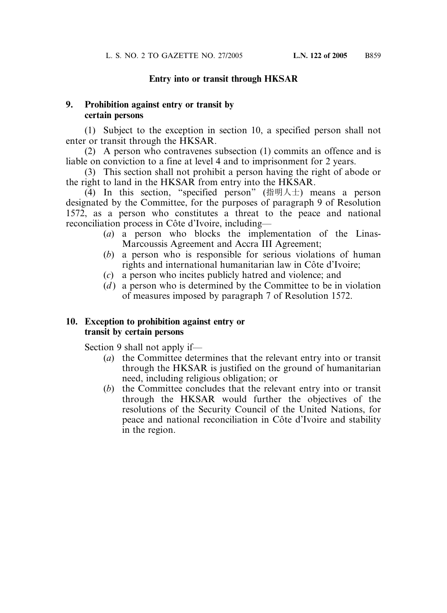#### **Entry into or transit through HKSAR**

#### **9. Prohibition against entry or transit by certain persons**

(1) Subject to the exception in section 10, a specified person shall not enter or transit through the HKSAR.

(2) A person who contravenes subsection (1) commits an offence and is liable on conviction to a fine at level 4 and to imprisonment for 2 years.

(3) This section shall not prohibit a person having the right of abode or the right to land in the HKSAR from entry into the HKSAR.

(4) In this section, "specified person" (指明人士) means a person designated by the Committee, for the purposes of paragraph 9 of Resolution 1572, as a person who constitutes a threat to the peace and national reconciliation process in Côte d'Ivoire, including—

- (*a*) a person who blocks the implementation of the Linas-Marcoussis Agreement and Accra III Agreement;
- (*b*) a person who is responsible for serious violations of human rights and international humanitarian law in Côte d'Ivoire;
- (*c*) a person who incites publicly hatred and violence; and
- (*d*) a person who is determined by the Committee to be in violation of measures imposed by paragraph 7 of Resolution 1572.

#### **10. Exception to prohibition against entry or transit by certain persons**

Section 9 shall not apply if—

- (*a*) the Committee determines that the relevant entry into or transit through the HKSAR is justified on the ground of humanitarian need, including religious obligation; or
- (*b*) the Committee concludes that the relevant entry into or transit through the HKSAR would further the objectives of the resolutions of the Security Council of the United Nations, for peace and national reconciliation in Côte d'Ivoire and stability in the region.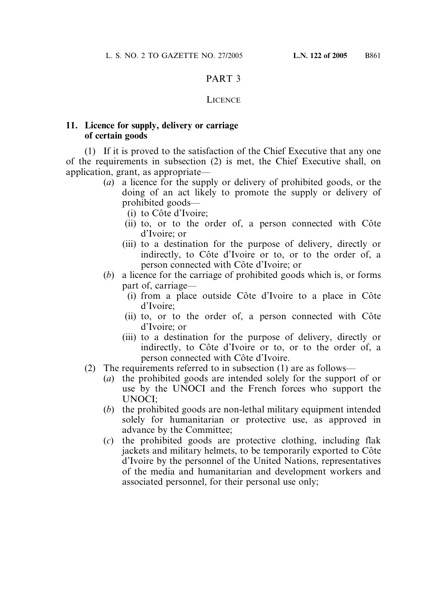#### PART 3

#### LICENCE

#### **11. Licence for supply, delivery or carriage of certain goods**

(1) If it is proved to the satisfaction of the Chief Executive that any one of the requirements in subsection (2) is met, the Chief Executive shall, on application, grant, as appropriate—

- (*a*) a licence for the supply or delivery of prohibited goods, or the doing of an act likely to promote the supply or delivery of prohibited goods—
	- (i) to Côte d'Ivoire;
	- (ii) to, or to the order of, a person connected with Côte d'Ivoire; or
	- (iii) to a destination for the purpose of delivery, directly or indirectly, to Côte d'Ivoire or to, or to the order of, a person connected with Côte d'Ivoire; or
- (*b*) a licence for the carriage of prohibited goods which is, or forms part of, carriage—
	- (i) from a place outside Côte d'Ivoire to a place in Côte d'Ivoire;
	- (ii) to, or to the order of, a person connected with Côte d'Ivoire; or
	- (iii) to a destination for the purpose of delivery, directly or indirectly, to Côte d'Ivoire or to, or to the order of, a person connected with Côte d'Ivoire.
- (2) The requirements referred to in subsection (1) are as follows—
	- (*a*) the prohibited goods are intended solely for the support of or use by the UNOCI and the French forces who support the UNOCI;
	- (*b*) the prohibited goods are non-lethal military equipment intended solely for humanitarian or protective use, as approved in advance by the Committee;
	- (*c*) the prohibited goods are protective clothing, including flak jackets and military helmets, to be temporarily exported to Côte d'Ivoire by the personnel of the United Nations, representatives of the media and humanitarian and development workers and associated personnel, for their personal use only;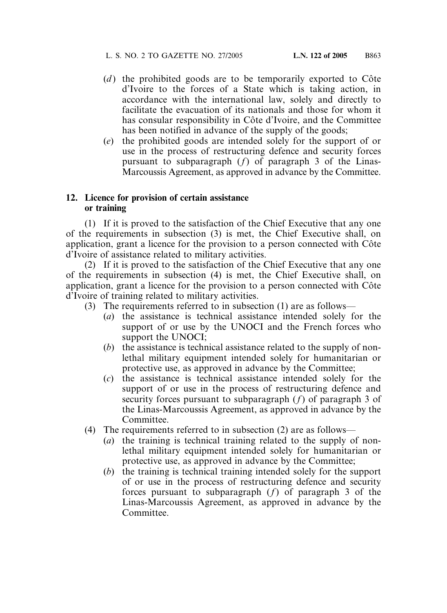- (*d*) the prohibited goods are to be temporarily exported to Côte d'Ivoire to the forces of a State which is taking action, in accordance with the international law, solely and directly to facilitate the evacuation of its nationals and those for whom it has consular responsibility in Côte d'Ivoire, and the Committee has been notified in advance of the supply of the goods;
- (*e*) the prohibited goods are intended solely for the support of or use in the process of restructuring defence and security forces pursuant to subparagraph (*f*) of paragraph 3 of the Linas-Marcoussis Agreement, as approved in advance by the Committee.

#### **12. Licence for provision of certain assistance or training**

(1) If it is proved to the satisfaction of the Chief Executive that any one of the requirements in subsection (3) is met, the Chief Executive shall, on application, grant a licence for the provision to a person connected with Côte d'Ivoire of assistance related to military activities.

(2) If it is proved to the satisfaction of the Chief Executive that any one of the requirements in subsection (4) is met, the Chief Executive shall, on application, grant a licence for the provision to a person connected with Côte d'Ivoire of training related to military activities.

- (3) The requirements referred to in subsection (1) are as follows—
	- (*a*) the assistance is technical assistance intended solely for the support of or use by the UNOCI and the French forces who support the UNOCI;
	- (*b*) the assistance is technical assistance related to the supply of nonlethal military equipment intended solely for humanitarian or protective use, as approved in advance by the Committee;
	- (*c*) the assistance is technical assistance intended solely for the support of or use in the process of restructuring defence and security forces pursuant to subparagraph (*f*) of paragraph 3 of the Linas-Marcoussis Agreement, as approved in advance by the Committee.
- (4) The requirements referred to in subsection (2) are as follows—
	- (*a*) the training is technical training related to the supply of nonlethal military equipment intended solely for humanitarian or protective use, as approved in advance by the Committee;
	- (*b*) the training is technical training intended solely for the support of or use in the process of restructuring defence and security forces pursuant to subparagraph (*f*) of paragraph 3 of the Linas-Marcoussis Agreement, as approved in advance by the Committee.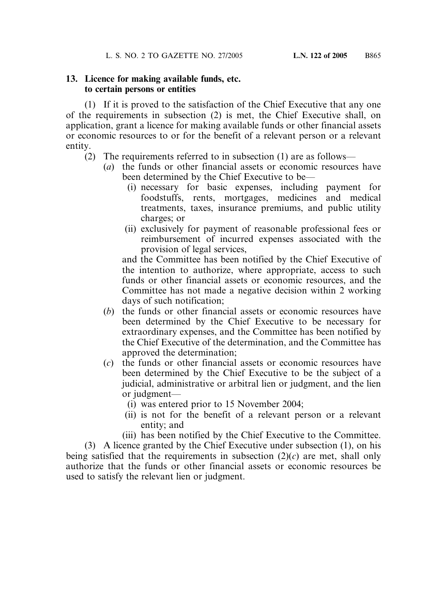#### **13. Licence for making available funds, etc. to certain persons or entities**

(1) If it is proved to the satisfaction of the Chief Executive that any one of the requirements in subsection (2) is met, the Chief Executive shall, on application, grant a licence for making available funds or other financial assets or economic resources to or for the benefit of a relevant person or a relevant entity.

- (2) The requirements referred to in subsection (1) are as follows—
	- (*a*) the funds or other financial assets or economic resources have been determined by the Chief Executive to be—
		- (i) necessary for basic expenses, including payment for foodstuffs, rents, mortgages, medicines and medical treatments, taxes, insurance premiums, and public utility charges; or
		- (ii) exclusively for payment of reasonable professional fees or reimbursement of incurred expenses associated with the provision of legal services,

and the Committee has been notified by the Chief Executive of the intention to authorize, where appropriate, access to such funds or other financial assets or economic resources, and the Committee has not made a negative decision within 2 working days of such notification;

- (*b*) the funds or other financial assets or economic resources have been determined by the Chief Executive to be necessary for extraordinary expenses, and the Committee has been notified by the Chief Executive of the determination, and the Committee has approved the determination;
- (*c*) the funds or other financial assets or economic resources have been determined by the Chief Executive to be the subject of a judicial, administrative or arbitral lien or judgment, and the lien or judgment—
	- (i) was entered prior to 15 November 2004;
	- (ii) is not for the benefit of a relevant person or a relevant entity; and

(iii) has been notified by the Chief Executive to the Committee.

(3) A licence granted by the Chief Executive under subsection (1), on his being satisfied that the requirements in subsection  $(2)(c)$  are met, shall only authorize that the funds or other financial assets or economic resources be used to satisfy the relevant lien or judgment.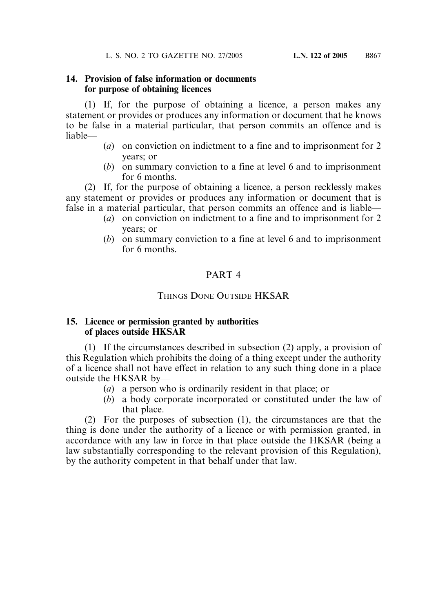#### **14. Provision of false information or documents for purpose of obtaining licences**

(1) If, for the purpose of obtaining a licence, a person makes any statement or provides or produces any information or document that he knows to be false in a material particular, that person commits an offence and is liable—

- (*a*) on conviction on indictment to a fine and to imprisonment for 2 years; or
- (*b*) on summary conviction to a fine at level 6 and to imprisonment for 6 months.

(2) If, for the purpose of obtaining a licence, a person recklessly makes any statement or provides or produces any information or document that is false in a material particular, that person commits an offence and is liable—

- (*a*) on conviction on indictment to a fine and to imprisonment for 2 years; or
- (*b*) on summary conviction to a fine at level 6 and to imprisonment for 6 months.

## PART 4

#### THINGS DONE OUTSIDE HKSAR

#### **15. Licence or permission granted by authorities of places outside HKSAR**

(1) If the circumstances described in subsection (2) apply, a provision of this Regulation which prohibits the doing of a thing except under the authority of a licence shall not have effect in relation to any such thing done in a place outside the HKSAR by—

- (*a*) a person who is ordinarily resident in that place; or
- (*b*) a body corporate incorporated or constituted under the law of that place.

(2) For the purposes of subsection (1), the circumstances are that the thing is done under the authority of a licence or with permission granted, in accordance with any law in force in that place outside the HKSAR (being a law substantially corresponding to the relevant provision of this Regulation), by the authority competent in that behalf under that law.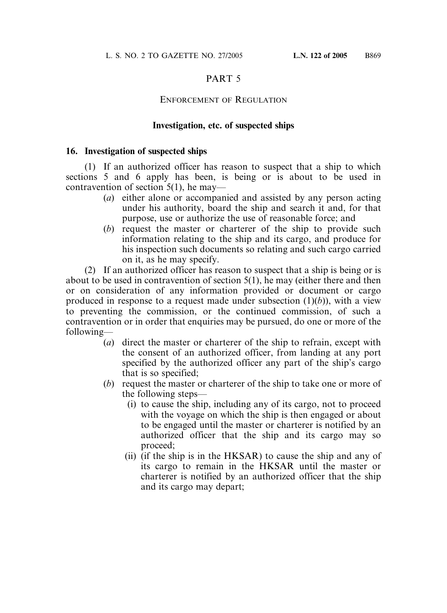## PART 5

#### ENFORCEMENT OF REGULATION

#### **Investigation, etc. of suspected ships**

#### **16. Investigation of suspected ships**

(1) If an authorized officer has reason to suspect that a ship to which sections 5 and 6 apply has been, is being or is about to be used in contravention of section 5(1), he may—

- (*a*) either alone or accompanied and assisted by any person acting under his authority, board the ship and search it and, for that purpose, use or authorize the use of reasonable force; and
- (*b*) request the master or charterer of the ship to provide such information relating to the ship and its cargo, and produce for his inspection such documents so relating and such cargo carried on it, as he may specify.

(2) If an authorized officer has reason to suspect that a ship is being or is about to be used in contravention of section 5(1), he may (either there and then or on consideration of any information provided or document or cargo produced in response to a request made under subsection  $(1)(b)$ , with a view to preventing the commission, or the continued commission, of such a contravention or in order that enquiries may be pursued, do one or more of the following—

- (*a*) direct the master or charterer of the ship to refrain, except with the consent of an authorized officer, from landing at any port specified by the authorized officer any part of the ship's cargo that is so specified;
- (*b*) request the master or charterer of the ship to take one or more of the following steps—
	- (i) to cause the ship, including any of its cargo, not to proceed with the voyage on which the ship is then engaged or about to be engaged until the master or charterer is notified by an authorized officer that the ship and its cargo may so proceed;
	- (ii) (if the ship is in the HKSAR) to cause the ship and any of its cargo to remain in the HKSAR until the master or charterer is notified by an authorized officer that the ship and its cargo may depart;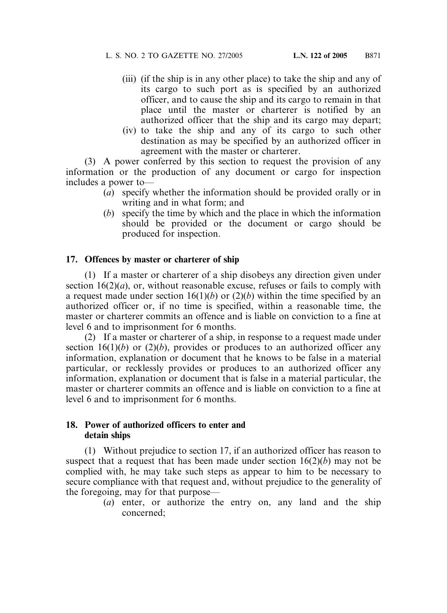- (iii) (if the ship is in any other place) to take the ship and any of its cargo to such port as is specified by an authorized officer, and to cause the ship and its cargo to remain in that place until the master or charterer is notified by an authorized officer that the ship and its cargo may depart;
- (iv) to take the ship and any of its cargo to such other destination as may be specified by an authorized officer in agreement with the master or charterer.

(3) A power conferred by this section to request the provision of any information or the production of any document or cargo for inspection includes a power to—

- (*a*) specify whether the information should be provided orally or in writing and in what form; and
- (*b*) specify the time by which and the place in which the information should be provided or the document or cargo should be produced for inspection.

#### **17. Offences by master or charterer of ship**

(1) If a master or charterer of a ship disobeys any direction given under section  $16(2)(a)$ , or, without reasonable excuse, refuses or fails to comply with a request made under section  $16(1)(b)$  or  $(2)(b)$  within the time specified by an authorized officer or, if no time is specified, within a reasonable time, the master or charterer commits an offence and is liable on conviction to a fine at level 6 and to imprisonment for 6 months.

(2) If a master or charterer of a ship, in response to a request made under section  $16(1)(b)$  or  $(2)(b)$ , provides or produces to an authorized officer any information, explanation or document that he knows to be false in a material particular, or recklessly provides or produces to an authorized officer any information, explanation or document that is false in a material particular, the master or charterer commits an offence and is liable on conviction to a fine at level 6 and to imprisonment for 6 months.

#### **18. Power of authorized officers to enter and detain ships**

(1) Without prejudice to section 17, if an authorized officer has reason to suspect that a request that has been made under section 16(2)(*b*) may not be complied with, he may take such steps as appear to him to be necessary to secure compliance with that request and, without prejudice to the generality of the foregoing, may for that purpose—

(*a*) enter, or authorize the entry on, any land and the ship concerned;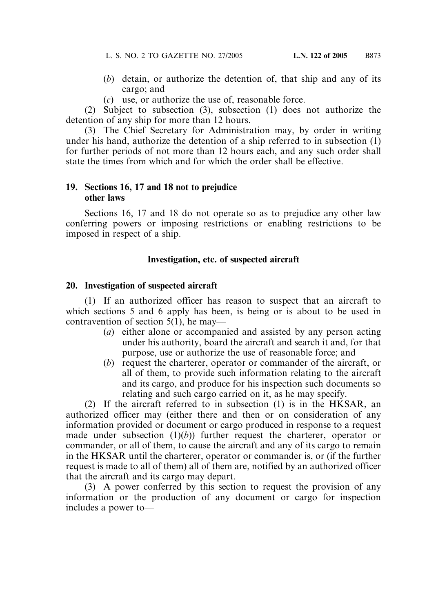- (*b*) detain, or authorize the detention of, that ship and any of its cargo; and
- (*c*) use, or authorize the use of, reasonable force.

(2) Subject to subsection (3), subsection (1) does not authorize the detention of any ship for more than 12 hours.

(3) The Chief Secretary for Administration may, by order in writing under his hand, authorize the detention of a ship referred to in subsection (1) for further periods of not more than 12 hours each, and any such order shall state the times from which and for which the order shall be effective.

#### **19. Sections 16, 17 and 18 not to prejudice other laws**

Sections 16, 17 and 18 do not operate so as to prejudice any other law conferring powers or imposing restrictions or enabling restrictions to be imposed in respect of a ship.

#### **Investigation, etc. of suspected aircraft**

#### **20. Investigation of suspected aircraft**

(1) If an authorized officer has reason to suspect that an aircraft to which sections 5 and 6 apply has been, is being or is about to be used in contravention of section  $5(1)$ , he may—

- (*a*) either alone or accompanied and assisted by any person acting under his authority, board the aircraft and search it and, for that purpose, use or authorize the use of reasonable force; and
- (*b*) request the charterer, operator or commander of the aircraft, or all of them, to provide such information relating to the aircraft and its cargo, and produce for his inspection such documents so relating and such cargo carried on it, as he may specify.

(2) If the aircraft referred to in subsection (1) is in the HKSAR, an authorized officer may (either there and then or on consideration of any information provided or document or cargo produced in response to a request made under subsection (1)(*b*)) further request the charterer, operator or commander, or all of them, to cause the aircraft and any of its cargo to remain in the HKSAR until the charterer, operator or commander is, or (if the further request is made to all of them) all of them are, notified by an authorized officer that the aircraft and its cargo may depart.

(3) A power conferred by this section to request the provision of any information or the production of any document or cargo for inspection includes a power to—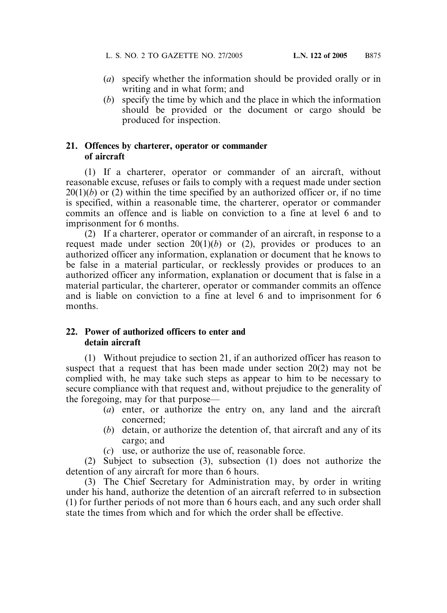- (*a*) specify whether the information should be provided orally or in writing and in what form; and
- (*b*) specify the time by which and the place in which the information should be provided or the document or cargo should be produced for inspection.

#### **21. Offences by charterer, operator or commander of aircraft**

(1) If a charterer, operator or commander of an aircraft, without reasonable excuse, refuses or fails to comply with a request made under section  $20(1)(b)$  or (2) within the time specified by an authorized officer or, if no time is specified, within a reasonable time, the charterer, operator or commander commits an offence and is liable on conviction to a fine at level 6 and to imprisonment for 6 months.

(2) If a charterer, operator or commander of an aircraft, in response to a request made under section  $20(1)(b)$  or (2), provides or produces to an authorized officer any information, explanation or document that he knows to be false in a material particular, or recklessly provides or produces to an authorized officer any information, explanation or document that is false in a material particular, the charterer, operator or commander commits an offence and is liable on conviction to a fine at level 6 and to imprisonment for 6 months.

#### **22. Power of authorized officers to enter and detain aircraft**

(1) Without prejudice to section 21, if an authorized officer has reason to suspect that a request that has been made under section 20(2) may not be complied with, he may take such steps as appear to him to be necessary to secure compliance with that request and, without prejudice to the generality of the foregoing, may for that purpose—

- (*a*) enter, or authorize the entry on, any land and the aircraft concerned;
- (*b*) detain, or authorize the detention of, that aircraft and any of its cargo; and
- (*c*) use, or authorize the use of, reasonable force.

(2) Subject to subsection (3), subsection (1) does not authorize the detention of any aircraft for more than 6 hours.

(3) The Chief Secretary for Administration may, by order in writing under his hand, authorize the detention of an aircraft referred to in subsection (1) for further periods of not more than 6 hours each, and any such order shall state the times from which and for which the order shall be effective.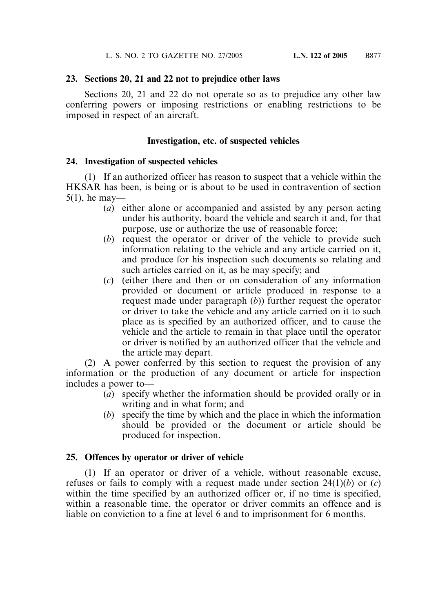#### **23. Sections 20, 21 and 22 not to prejudice other laws**

Sections 20, 21 and 22 do not operate so as to prejudice any other law conferring powers or imposing restrictions or enabling restrictions to be imposed in respect of an aircraft.

#### **Investigation, etc. of suspected vehicles**

#### **24. Investigation of suspected vehicles**

(1) If an authorized officer has reason to suspect that a vehicle within the HKSAR has been, is being or is about to be used in contravention of section 5(1), he may—

- (*a*) either alone or accompanied and assisted by any person acting under his authority, board the vehicle and search it and, for that purpose, use or authorize the use of reasonable force;
- (*b*) request the operator or driver of the vehicle to provide such information relating to the vehicle and any article carried on it, and produce for his inspection such documents so relating and such articles carried on it, as he may specify; and
- (*c*) (either there and then or on consideration of any information provided or document or article produced in response to a request made under paragraph (*b*)) further request the operator or driver to take the vehicle and any article carried on it to such place as is specified by an authorized officer, and to cause the vehicle and the article to remain in that place until the operator or driver is notified by an authorized officer that the vehicle and the article may depart.

(2) A power conferred by this section to request the provision of any information or the production of any document or article for inspection includes a power to—

- (*a*) specify whether the information should be provided orally or in writing and in what form; and
- (*b*) specify the time by which and the place in which the information should be provided or the document or article should be produced for inspection.

#### **25. Offences by operator or driver of vehicle**

(1) If an operator or driver of a vehicle, without reasonable excuse, refuses or fails to comply with a request made under section 24(1)(*b*) or (*c*) within the time specified by an authorized officer or, if no time is specified, within a reasonable time, the operator or driver commits an offence and is liable on conviction to a fine at level 6 and to imprisonment for 6 months.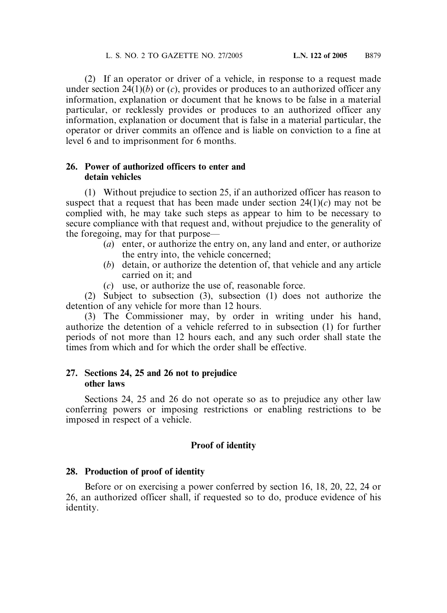(2) If an operator or driver of a vehicle, in response to a request made under section 24(1)(*b*) or (*c*), provides or produces to an authorized officer any information, explanation or document that he knows to be false in a material particular, or recklessly provides or produces to an authorized officer any information, explanation or document that is false in a material particular, the operator or driver commits an offence and is liable on conviction to a fine at level 6 and to imprisonment for 6 months.

#### **26. Power of authorized officers to enter and detain vehicles**

(1) Without prejudice to section 25, if an authorized officer has reason to suspect that a request that has been made under section  $24(1)(c)$  may not be complied with, he may take such steps as appear to him to be necessary to secure compliance with that request and, without prejudice to the generality of the foregoing, may for that purpose—

- (*a*) enter, or authorize the entry on, any land and enter, or authorize the entry into, the vehicle concerned;
- (*b*) detain, or authorize the detention of, that vehicle and any article carried on it; and
- (*c*) use, or authorize the use of, reasonable force.

(2) Subject to subsection (3), subsection (1) does not authorize the detention of any vehicle for more than 12 hours.

(3) The Commissioner may, by order in writing under his hand, authorize the detention of a vehicle referred to in subsection (1) for further periods of not more than 12 hours each, and any such order shall state the times from which and for which the order shall be effective.

#### **27. Sections 24, 25 and 26 not to prejudice other laws**

Sections 24, 25 and 26 do not operate so as to prejudice any other law conferring powers or imposing restrictions or enabling restrictions to be imposed in respect of a vehicle.

#### **Proof of identity**

#### **28. Production of proof of identity**

Before or on exercising a power conferred by section 16, 18, 20, 22, 24 or 26, an authorized officer shall, if requested so to do, produce evidence of his identity.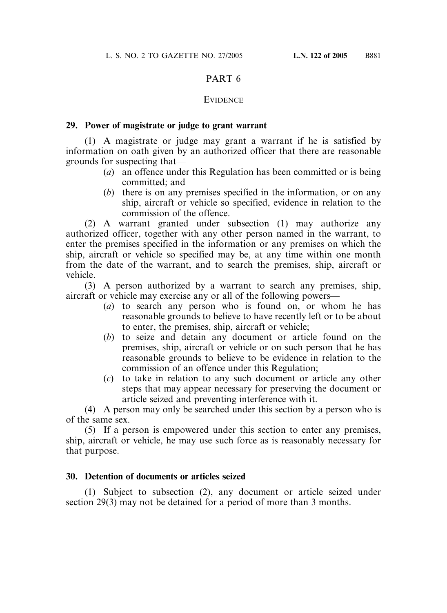#### PART 6

#### **EVIDENCE**

#### **29. Power of magistrate or judge to grant warrant**

(1) A magistrate or judge may grant a warrant if he is satisfied by information on oath given by an authorized officer that there are reasonable grounds for suspecting that—

- (*a*) an offence under this Regulation has been committed or is being committed; and
- (*b*) there is on any premises specified in the information, or on any ship, aircraft or vehicle so specified, evidence in relation to the commission of the offence.

(2) A warrant granted under subsection (1) may authorize any authorized officer, together with any other person named in the warrant, to enter the premises specified in the information or any premises on which the ship, aircraft or vehicle so specified may be, at any time within one month from the date of the warrant, and to search the premises, ship, aircraft or vehicle.

(3) A person authorized by a warrant to search any premises, ship, aircraft or vehicle may exercise any or all of the following powers—

- (*a*) to search any person who is found on, or whom he has reasonable grounds to believe to have recently left or to be about to enter, the premises, ship, aircraft or vehicle;
- (*b*) to seize and detain any document or article found on the premises, ship, aircraft or vehicle or on such person that he has reasonable grounds to believe to be evidence in relation to the commission of an offence under this Regulation;
- (*c*) to take in relation to any such document or article any other steps that may appear necessary for preserving the document or article seized and preventing interference with it.

(4) A person may only be searched under this section by a person who is of the same sex.

(5) If a person is empowered under this section to enter any premises, ship, aircraft or vehicle, he may use such force as is reasonably necessary for that purpose.

#### **30. Detention of documents or articles seized**

(1) Subject to subsection (2), any document or article seized under section 29(3) may not be detained for a period of more than 3 months.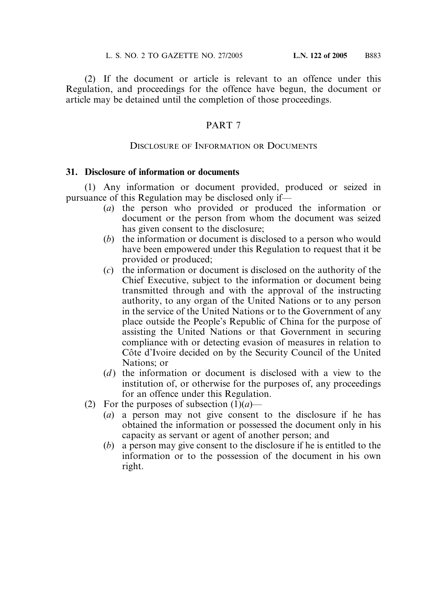(2) If the document or article is relevant to an offence under this Regulation, and proceedings for the offence have begun, the document or article may be detained until the completion of those proceedings.

## PART 7

#### DISCLOSURE OF INFORMATION OR DOCUMENTS

#### **31. Disclosure of information or documents**

(1) Any information or document provided, produced or seized in pursuance of this Regulation may be disclosed only if—

- (*a*) the person who provided or produced the information or document or the person from whom the document was seized has given consent to the disclosure;
- (*b*) the information or document is disclosed to a person who would have been empowered under this Regulation to request that it be provided or produced;
- (*c*) the information or document is disclosed on the authority of the Chief Executive, subject to the information or document being transmitted through and with the approval of the instructing authority, to any organ of the United Nations or to any person in the service of the United Nations or to the Government of any place outside the People's Republic of China for the purpose of assisting the United Nations or that Government in securing compliance with or detecting evasion of measures in relation to Côte d'Ivoire decided on by the Security Council of the United Nations; or
- (*d*) the information or document is disclosed with a view to the institution of, or otherwise for the purposes of, any proceedings for an offence under this Regulation.
- (2) For the purposes of subsection  $(1)(a)$ 
	- (*a*) a person may not give consent to the disclosure if he has obtained the information or possessed the document only in his capacity as servant or agent of another person; and
	- (*b*) a person may give consent to the disclosure if he is entitled to the information or to the possession of the document in his own right.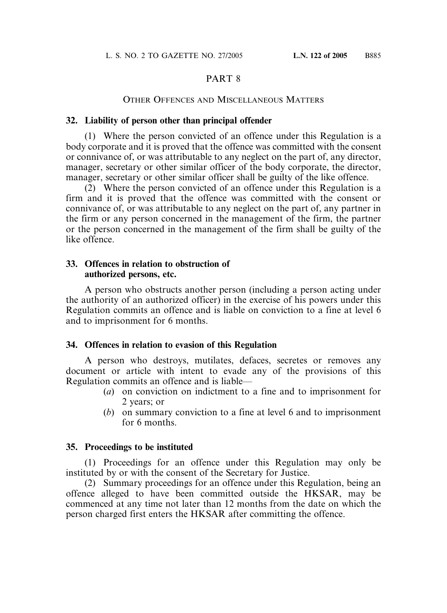#### PART 8

#### OTHER OFFENCES AND MISCELLANEOUS MATTERS

#### **32. Liability of person other than principal offender**

(1) Where the person convicted of an offence under this Regulation is a body corporate and it is proved that the offence was committed with the consent or connivance of, or was attributable to any neglect on the part of, any director, manager, secretary or other similar officer of the body corporate, the director, manager, secretary or other similar officer shall be guilty of the like offence.

(2) Where the person convicted of an offence under this Regulation is a firm and it is proved that the offence was committed with the consent or connivance of, or was attributable to any neglect on the part of, any partner in the firm or any person concerned in the management of the firm, the partner or the person concerned in the management of the firm shall be guilty of the like offence.

#### **33. Offences in relation to obstruction of authorized persons, etc.**

A person who obstructs another person (including a person acting under the authority of an authorized officer) in the exercise of his powers under this Regulation commits an offence and is liable on conviction to a fine at level 6 and to imprisonment for 6 months.

#### **34. Offences in relation to evasion of this Regulation**

A person who destroys, mutilates, defaces, secretes or removes any document or article with intent to evade any of the provisions of this Regulation commits an offence and is liable—

- (*a*) on conviction on indictment to a fine and to imprisonment for 2 years; or
- (*b*) on summary conviction to a fine at level 6 and to imprisonment for 6 months.

#### **35. Proceedings to be instituted**

(1) Proceedings for an offence under this Regulation may only be instituted by or with the consent of the Secretary for Justice.

(2) Summary proceedings for an offence under this Regulation, being an offence alleged to have been committed outside the HKSAR, may be commenced at any time not later than 12 months from the date on which the person charged first enters the HKSAR after committing the offence.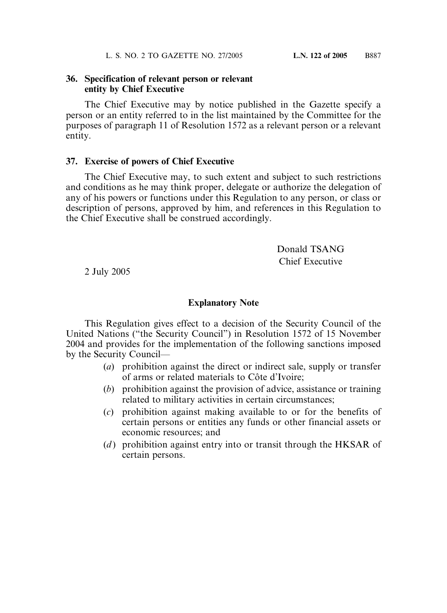#### **36. Specification of relevant person or relevant entity by Chief Executive**

The Chief Executive may by notice published in the Gazette specify a person or an entity referred to in the list maintained by the Committee for the purposes of paragraph 11 of Resolution 1572 as a relevant person or a relevant entity.

#### **37. Exercise of powers of Chief Executive**

The Chief Executive may, to such extent and subject to such restrictions and conditions as he may think proper, delegate or authorize the delegation of any of his powers or functions under this Regulation to any person, or class or description of persons, approved by him, and references in this Regulation to the Chief Executive shall be construed accordingly.

> Donald TSANG Chief Executive

2 July 2005

#### **Explanatory Note**

This Regulation gives effect to a decision of the Security Council of the United Nations ("the Security Council") in Resolution 1572 of 15 November 2004 and provides for the implementation of the following sanctions imposed by the Security Council—

- (*a*) prohibition against the direct or indirect sale, supply or transfer of arms or related materials to Côte d'Ivoire;
- (*b*) prohibition against the provision of advice, assistance or training related to military activities in certain circumstances;
- (*c*) prohibition against making available to or for the benefits of certain persons or entities any funds or other financial assets or economic resources; and
- (*d*) prohibition against entry into or transit through the HKSAR of certain persons.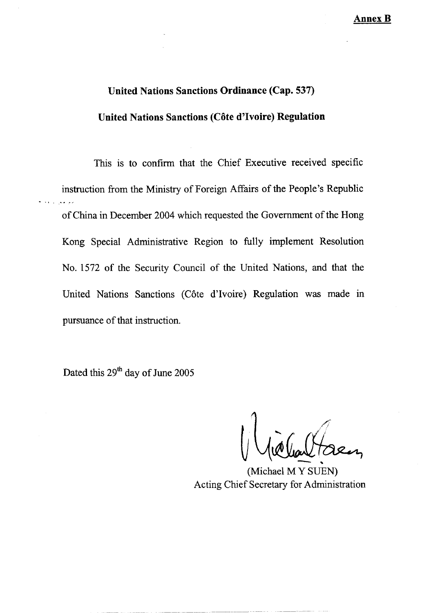# **United Nations Sanctions Ordinance (Cap. 537)** United Nations Sanctions (Côte d'Ivoire) Regulation

This is to confirm that the Chief Executive received specific instruction from the Ministry of Foreign Affairs of the People's Republic ومامنه الرابعة الجانبة of China in December 2004 which requested the Government of the Hong Kong Special Administrative Region to fully implement Resolution No. 1572 of the Security Council of the United Nations, and that the United Nations Sanctions (Côte d'Ivoire) Regulation was made in pursuance of that instruction.

Dated this 29<sup>th</sup> day of June 2005

(Michael M Y SUEN) Acting Chief Secretary for Administration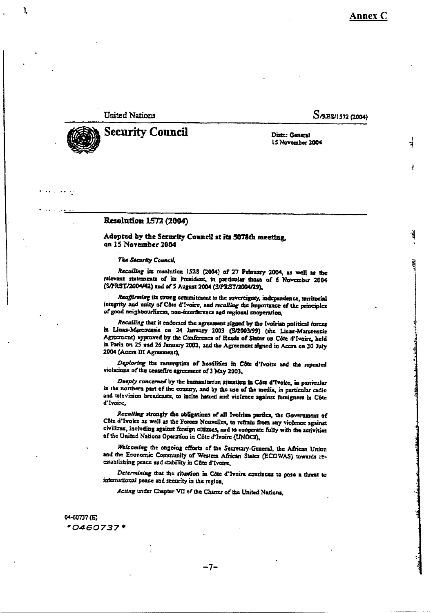Annex C

#### **United Nations**

SARSJ1572 (2004)



ł

Distr.: General 15 November 2004

#### **Resolution 1572 (2004)**

#### Adopted by the Security Council at its 5078th meeting. on 15 November 2004

#### The Security Council.

Recalling its resolution 1528 (2004) of 27 February 2004, as well as the relevant statements of its President, in particular those of 6 November 2004 (S/PRST/2004/42) and of 5 August 2004 (S/PRST/2004/29).

Reaffirming its strong commitment to the sovereignty, independence, territorial integrity and unity of Côte d'Ivoire, and recalling the importance of the principlex of good neighbourliness, non-interference and regional cooperation,

Recalling that it endorsed the agreement signed by the Ivoirian political forces in Linas-Marcoussis on 24 January 2003 (S/2003/99) (the Linas-Marcoussis Agreement) approved by the Conference of Heads of States on Côte d'Ivoire, held in Paris on 25 and 26 January 2003, and the Agreement signed in Accra on 30 July 2004 (Accra III Agreement).

Deploring the renumption of hostilities in Côte d'Ivoire and the repeated violations of the ceasefire agreement of 3 May 2003,

Deeply concerned by the humanitation situation in Côte d'Ivoire, in particular in the northern part of the country, and by the use of the media, in particular radio and television broadcasts, to incite hatred and violence against foreigners in Côte d'Ivoire

Recalling strongly the obligations of all Ivoirian parties, the Government of Côte d'Ivoire as well as the Forces Nouvelles, to refrain from any violence against civilians, including against foreign citizens, and to cooperate fully with the activities of the United Nations Operation in Côte d'Ivoire (UNOCI).

Welcoming the ongoing efforts of the Secretary-General, the African Union and the Economic Community of Western African States (ECOWAS) towards reestablishing peace and stability in Côte d'Ivoire,

Determining that the situation in Côte d'Ivoire continues to pose a threat to international peace and security in the region,

Acting under Chapter VII of the Charter of the United Nations,

#### 04-60737 (E)  $*0460737*$

 $-7-$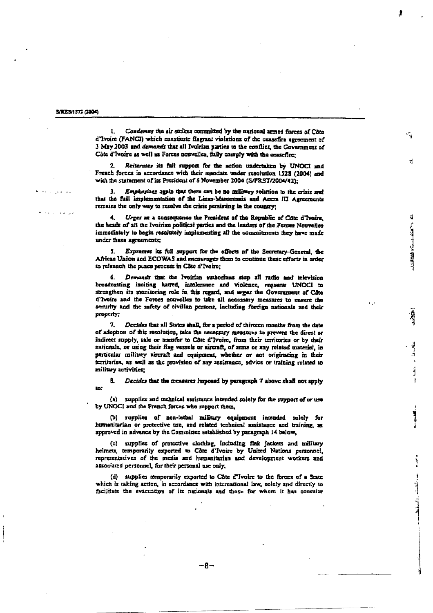Condemns the sir strikes committed by the national armed forces of Côte  $\mathbf{I}$ d'Ivoire (FANCI) which constitute flagrant violations of the ceasefire agreement of 3 May 2003 and demands that all Ivoirian parties to the conflict, the Government of Côte d'Ivoire as well as Forces nouvelles, fully camply with the ceasefire;

 $\mathbf{v}_\mathrm{g}$ 

٦i

Ń

A STRING POINT OF THE PARTY.

أشقيه

Reiterates its full support for the action undertaken by UNOCI and French forces in accordance with their mandate under resolution 1528 (2004) and with the statement of its President of 6 November 2004 (S/PRST/2004/42):

Emphasizes again that there can be no military solution to the crisis and that the full implementation of the Linas-Marconssis and Accra III Agreements remains the only way to resolve the crisis persisting in the country:

Urger as a consequence the President of the Republic of Côte d'Ivoire,  $\blacktriangle$ the heads of all the Ivoirian political parties and the leaders of the Forces Nouvelles immediately to begin resolutely implementing all the commitments they have made under these agreements:

Expresses its full support for the efforts of the Secretary-General, the  $\overline{\mathbf{S}}$ African Union and ECOWAS and encourages them to continue these efforts in order to relaunch the peace process in Côte d'Ivoire;

Demands that the Ivoirian authorines stop all radio and television 6. broadcasting inciting hatted, intolerance and violence, requests UNOCl to strengthen its monitoring role in this regard, and wrear the Government of Côte d'Ivoire and the Forces nouvelles to take all necessary measures to cusure the security and the safety of civilian persons, including foreign nationals and their property;

 $7<sup>1</sup>$ Decides that all States shall, for a period of thirteen months from the date of adoption of this resolution, take the necessary measures to prevent the direct or indirect supply, sale or transfer to Côte d'Ivoire, from their territories or by their nationals, or using their flag vessels or aircraft, of arms or any related materiel, in particular military aircraft and equipment, whether or not originating in their territories, as well as the provision of any assistance, advice or training related to military activities;

R. Decides that the measures imposed by paragraph 7 above shall not spply to:

(a) supplies and technical assistance intended solely for the support of or use by UNOCI and the French forces who support them.

(b) supplies of non-lethal military equipment intended solely for humanitarian or protective use, and related technical assistance and training, as approved in advance by the Committee established by paragraph 14 below,

(c) supplies of protective clothing, including flak jackets and military helmets, temporarily exported to Côte d'Ivoire by United Nations personnel, representatives of the media and humanitarian and development workers and associated personnel, for their personal use only,

(d) supplies temporarily exported to Côte d'Ivoire to the forces of a State which is taking action, in accordance with international law, sofely and directly to facilitate the evacuation of its nationals and those for whom it has consular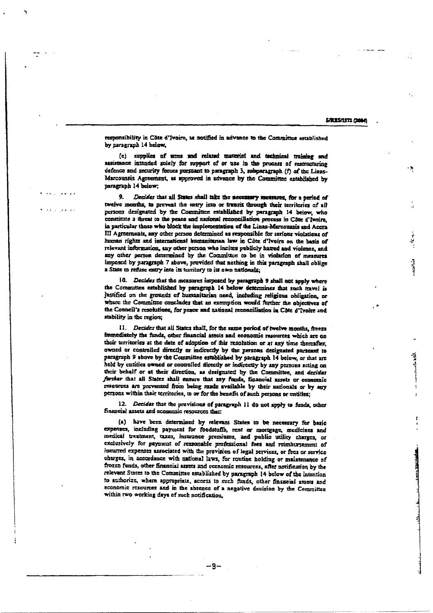**S/RXS/1571 (2004)** 

 $\cdot$  ,  $\bullet$ 

responsibility in Chte d'Ivoire, as notified in advance to the Committee established by paragraph 14 below.

(e) supplies of mins and related materiel and technical training and assistance intended solely for support of or use in the process of restructuring defence and security forces pursuant to paragraph 3, subparagraph (f) of the Linas-Marcoussis Agreement, as approved in advance by the Committee established by paragraph 14 below;

 $\mathbf{Q}$ Decider that all States shall take the necessary measures, for a period of twelve months, to prevent the entry into or transit through their territories of all persons designated by the Committee established by paragraph 14 below, who constitute a threat to the peace and national reconciliation process in Côte d'Ivoire. in particular those who block the implementation of the Linas-Marcoussis and Accra III Agreements, any other person determined as responsible for serious violations of human rights and international humanitarian law in Côte d'Ivoire on the basis of relevant information, any other person who incites publicly hatted and violence, and any other person determined by the Committee to be in violation of measures imposed by paragraph 7 above, provided that nothing in this paragraph shall oblige a State to refuse entry into its territory to its own nationals:

10. Decides that the measures imposed by peragraph 9 shall not apply where the Committen established by paragraph 14 below determines that such mavel is lustified on the grounds of humanitarian need, including religious obligation, or where the Committee concludes that an exemption would further the objectives of the Council's resolutions, for peace and national reconciliation in Cole d'Ivoire and stability in the region:

11. Decides that all States shall, for the same period of twelve months, freeze immediately the funds, other financial assets and economic resources which are on their territories at the date of adoption of this resolution or at any time thereafter. owned or controlled directly or indirectly by the persons designated partnant to paragraph 9 shove by the Committee established by paragraph 14 below, or that are held by entities owned or controlled directly or indirectly by any persons acting on their behalf or at their direction, as designated by the Committee, and decides further that all States shall ensure that any funds, financial assets or economic resources are prevented from being made available by their nationals or by any persons within their territories, to or for the benefit of such persons or entities;

12. Decides that the provisions of paragraph 11 do not apply to funds, other financial assets and economic resources that:

(a) have been determined by relevant States to be necessary for basic expenses, including payment for foodstuffs, rent or mortgage, medicines and medical treatment, taxes, insurance premiums, and public utility charges, or exclusively for payment of reasonable professional foes and reimbursement of incurred expenses associated with the provision of legal services, or fees or service oharges, in accordance with national laws, for routine holding or maintenance of frozen funds, other financial assets and cconomic resources, after notification by the relevant States to the Committee established by paragraph 14 below of the intention to authorize, where appropriate, access to such funds, other financial assets and economic resources and in the absence of a negative decision by the Committee within two working days of such notification.

-9-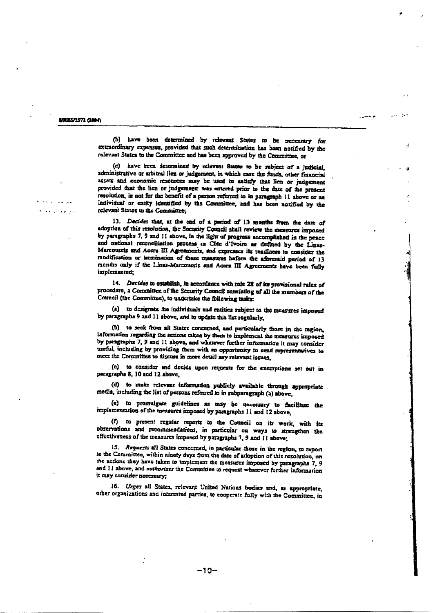#### **REIZENSTI CALA**

وعاطف والمناور

(b) have been determined by relevant States to be necessary for extraordinary expenses, provided that such determination has been notified by the relevant States to the Committee and has been approved by the Committee, or

24, 92

٠,

(c) have been determined by relevant States to be subject of a judicial, administrative or arbitral lien or judgement, in which case the funds, other financial assets and economic resources may be used to satisfy that lien or judgement provided that the lien or judgement was entered prior to the date of the present resolution, is not for the benefit of a parson referred to in paragraph 11 above or an individual or entity identified by the Committee, and has been notified by the relevant States to the Committee:

13. Decides that, at the end of a period of 13 months from the date of adoption of this resolution, the Security Council shall review the measures imposed by paragraphs 7, 9 and 11 above, in the light of progress accomplished in the peace and national reconciliation process in Côte d'Ivoire as defined by the Linas-Marcoussis and Acera III Agreements, and expresses its readiness to consider the modification or termination of these measures before the aforesaid period of 13 months only if the Linas-Marcoussis and Accra III Agreements have been fully implemented:

14. Decides to establish, in accordance with rule 28 of its provisional rules of procedure, a Committee of the Security Council consisting of all the members of the Council (the Committee), to undertake the following tasks:

(a) to designate the individuals and entities subject to the measures imposed by paragraphs 9 and 11 above, and to update this list regularly.

(b) to seck from all Stater concerned, and particularly those in the region, information regarding the actions taken by them to implement the measures imposed by paragraphs 7, 9 and 11 above, and whatever further information it may consider useful, including by providing them with an opportunity to send representatives to meet the Committee to discuss in more detail any relevant issues,

(c) to consider and decide upon requests for the exemptions set out in paragraphs 8, 10 and 12 above.

(d) to make relevant information publicly available through appropriate media, including the list of persons referred to in subparagraph (a) above,

(e) to promulgate guidelines as may be nocessary to facilitate the implementation of the measures imposed by paragraphs 11 and 12 above.

to present regular reports to the Council on its work, with its observations and recommendations, in particular on ways to strengthen the effectiveness of the measures imposed by paragraphs 7, 9 and 11 above:

15. Requests all States concerned, in particular those in the region, to report to the Committee, within ninety days from the date of adoption of this resolution, on the actions they have taken to implement the measures imposed by paragraphs 7, 9 and II above, and authorizes the Committee to request whatever further information it may consider necessary:

16. Urger all States, relevant United Nations bodies and, as appropriate, other organizations and interested parties, to cooperate fully with the Committee, in